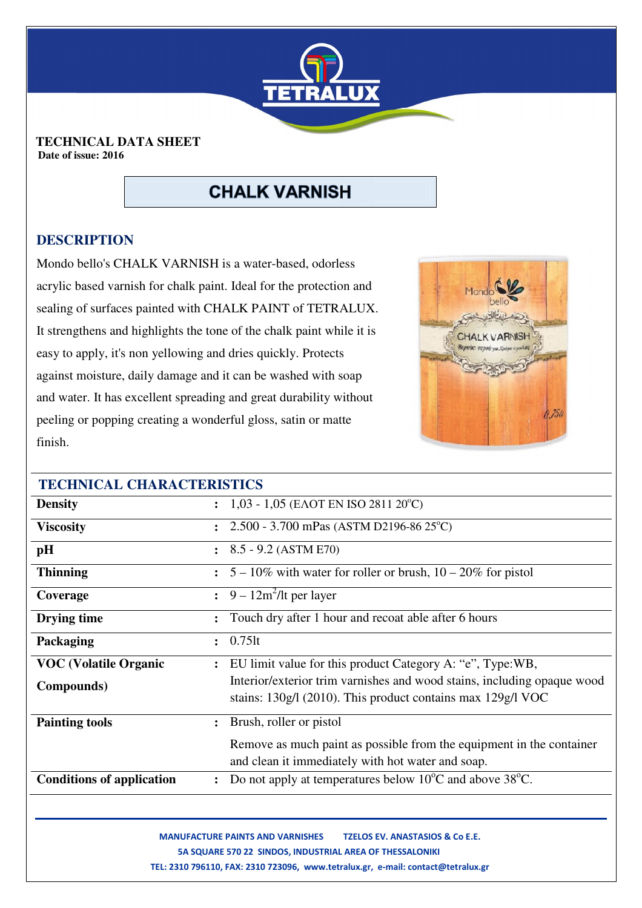

#### **TECHNICAL DATA SHEET Date of issue: 2016**

# **CHALK VARNISH**

# **DESCRIPTION**

Mondo bello's CHALK VARNISH is a water-based, odorless acrylic based varnish for chalk paint. Ideal for the protection and sealing of surfaces painted with CHALK PAINT of TETRALUX. It strengthens and highlights the tone of the chalk paint while it is easy to apply, it's non yellowing and dries quickly. Protects against moisture, daily damage and it can be washed with soap and water. It has excellent spreading and great durability without peeling or popping creating a wonderful gloss, satin or matte finish.



| <b>TECHNICAL CHARACTERISTICS</b> |                                                                                                                                        |
|----------------------------------|----------------------------------------------------------------------------------------------------------------------------------------|
| <b>Density</b>                   | $1,03 - 1,05$ (EAOT EN ISO 2811 20°C)                                                                                                  |
| <b>Viscosity</b>                 | 2.500 - 3.700 mPas (ASTM D2196-86 25°C)                                                                                                |
| pH                               | $8.5 - 9.2$ (ASTM E70)<br>$\ddot{\cdot}$                                                                                               |
| <b>Thinning</b>                  | $5 - 10\%$ with water for roller or brush, $10 - 20\%$ for pistol                                                                      |
| Coverage                         | $9 - 12m^2$ /lt per layer<br>$\ddot{\cdot}$                                                                                            |
| Drying time                      | Touch dry after 1 hour and recoat able after 6 hours                                                                                   |
| Packaging                        | $0.75$ lt                                                                                                                              |
| <b>VOC (Volatile Organic</b>     | EU limit value for this product Category A: "e", Type: WB,<br>$\ddot{\cdot}$                                                           |
| Compounds)                       | Interior/exterior trim varnishes and wood stains, including opaque wood<br>stains: 130g/l (2010). This product contains max 129g/l VOC |
| <b>Painting tools</b>            | Brush, roller or pistol                                                                                                                |
|                                  | Remove as much paint as possible from the equipment in the container<br>and clean it immediately with hot water and soap.              |
| <b>Conditions of application</b> | Do not apply at temperatures below $10^{\circ}$ C and above 38 $^{\circ}$ C.<br>$\ddot{\cdot}$                                         |
|                                  |                                                                                                                                        |

 **MANUFACTURE PAINTS AND VARNISHES TZELOS EV. ANASTASIOS & Co Ε.Ε. 5A SQUARE 570 22 SINDOS, INDUSTRIAL AREA OF THESSALONIKI ΤEL: 2310 796110, FAX: 2310 723096, www.tetralux.gr, e-mail: contact@tetralux.gr**